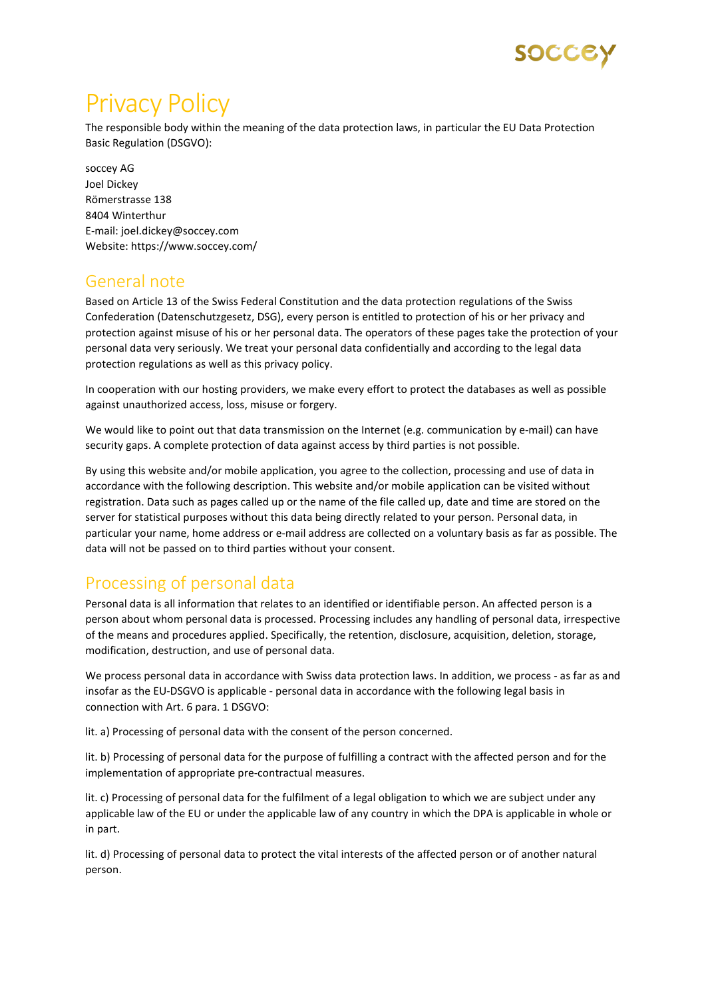

# Privacy Policy

The responsible body within the meaning of the data protection laws, in particular the EU Data Protection Basic Regulation (DSGVO):

soccey AG Joel Dickey Römerstrasse 138 8404 Winterthur E-mail: joel.dickey@soccey.com Website: https://www.soccey.com/

### General note

Based on Article 13 of the Swiss Federal Constitution and the data protection regulations of the Swiss Confederation (Datenschutzgesetz, DSG), every person is entitled to protection of his or her privacy and protection against misuse of his or her personal data. The operators of these pages take the protection of your personal data very seriously. We treat your personal data confidentially and according to the legal data protection regulations as well as this privacy policy.

In cooperation with our hosting providers, we make every effort to protect the databases as well as possible against unauthorized access, loss, misuse or forgery.

We would like to point out that data transmission on the Internet (e.g. communication by e-mail) can have security gaps. A complete protection of data against access by third parties is not possible.

By using this website and/or mobile application, you agree to the collection, processing and use of data in accordance with the following description. This website and/or mobile application can be visited without registration. Data such as pages called up or the name of the file called up, date and time are stored on the server for statistical purposes without this data being directly related to your person. Personal data, in particular your name, home address or e-mail address are collected on a voluntary basis as far as possible. The data will not be passed on to third parties without your consent.

# Processing of personal data

Personal data is all information that relates to an identified or identifiable person. An affected person is a person about whom personal data is processed. Processing includes any handling of personal data, irrespective of the means and procedures applied. Specifically, the retention, disclosure, acquisition, deletion, storage, modification, destruction, and use of personal data.

We process personal data in accordance with Swiss data protection laws. In addition, we process - as far as and insofar as the EU-DSGVO is applicable - personal data in accordance with the following legal basis in connection with Art. 6 para. 1 DSGVO:

lit. a) Processing of personal data with the consent of the person concerned.

lit. b) Processing of personal data for the purpose of fulfilling a contract with the affected person and for the implementation of appropriate pre-contractual measures.

lit. c) Processing of personal data for the fulfilment of a legal obligation to which we are subject under any applicable law of the EU or under the applicable law of any country in which the DPA is applicable in whole or in part.

lit. d) Processing of personal data to protect the vital interests of the affected person or of another natural person.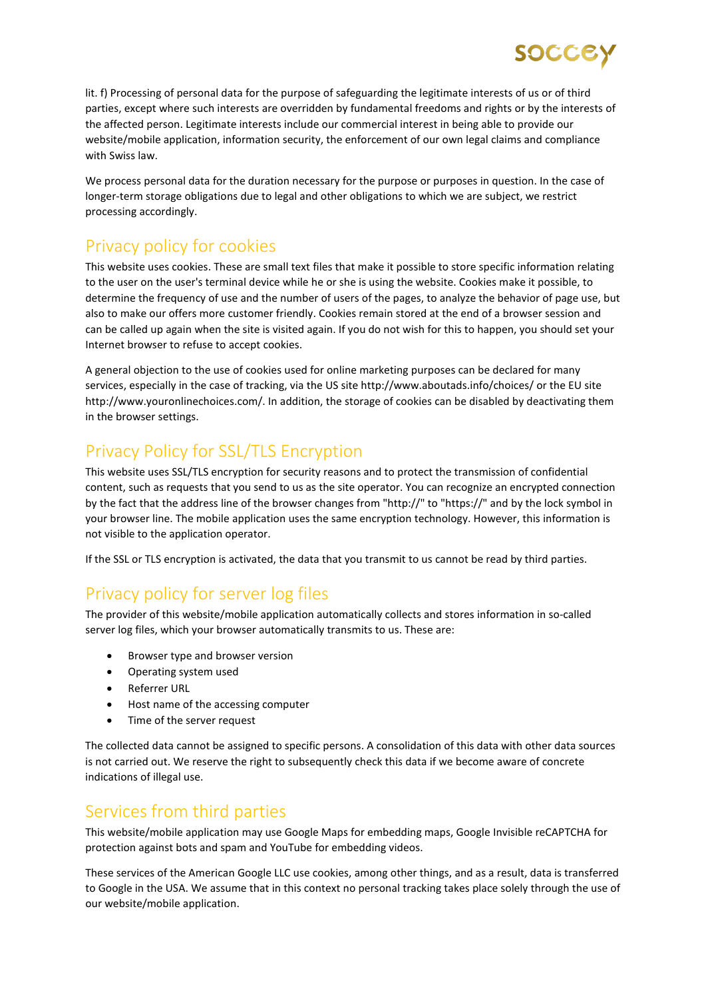lit. f) Processing of personal data for the purpose of safeguarding the legitimate interests of us or of third parties, except where such interests are overridden by fundamental freedoms and rights or by the interests of the affected person. Legitimate interests include our commercial interest in being able to provide our website/mobile application, information security, the enforcement of our own legal claims and compliance with Swiss law.

SOCCEY

We process personal data for the duration necessary for the purpose or purposes in question. In the case of longer-term storage obligations due to legal and other obligations to which we are subject, we restrict processing accordingly.

#### Privacy policy for cookies

This website uses cookies. These are small text files that make it possible to store specific information relating to the user on the user's terminal device while he or she is using the website. Cookies make it possible, to determine the frequency of use and the number of users of the pages, to analyze the behavior of page use, but also to make our offers more customer friendly. Cookies remain stored at the end of a browser session and can be called up again when the site is visited again. If you do not wish for this to happen, you should set your Internet browser to refuse to accept cookies.

A general objection to the use of cookies used for online marketing purposes can be declared for many services, especially in the case of tracking, via the US site http://www.aboutads.info/choices/ or the EU site http://www.youronlinechoices.com/. In addition, the storage of cookies can be disabled by deactivating them in the browser settings.

# Privacy Policy for SSL/TLS Encryption

This website uses SSL/TLS encryption for security reasons and to protect the transmission of confidential content, such as requests that you send to us as the site operator. You can recognize an encrypted connection by the fact that the address line of the browser changes from "http://" to "https://" and by the lock symbol in your browser line. The mobile application uses the same encryption technology. However, this information is not visible to the application operator.

If the SSL or TLS encryption is activated, the data that you transmit to us cannot be read by third parties.

### Privacy policy for server log files

The provider of this website/mobile application automatically collects and stores information in so-called server log files, which your browser automatically transmits to us. These are:

- Browser type and browser version
- Operating system used
- Referrer URL
- Host name of the accessing computer
- Time of the server request

The collected data cannot be assigned to specific persons. A consolidation of this data with other data sources is not carried out. We reserve the right to subsequently check this data if we become aware of concrete indications of illegal use.

### Services from third parties

This website/mobile application may use Google Maps for embedding maps, Google Invisible reCAPTCHA for protection against bots and spam and YouTube for embedding videos.

These services of the American Google LLC use cookies, among other things, and as a result, data is transferred to Google in the USA. We assume that in this context no personal tracking takes place solely through the use of our website/mobile application.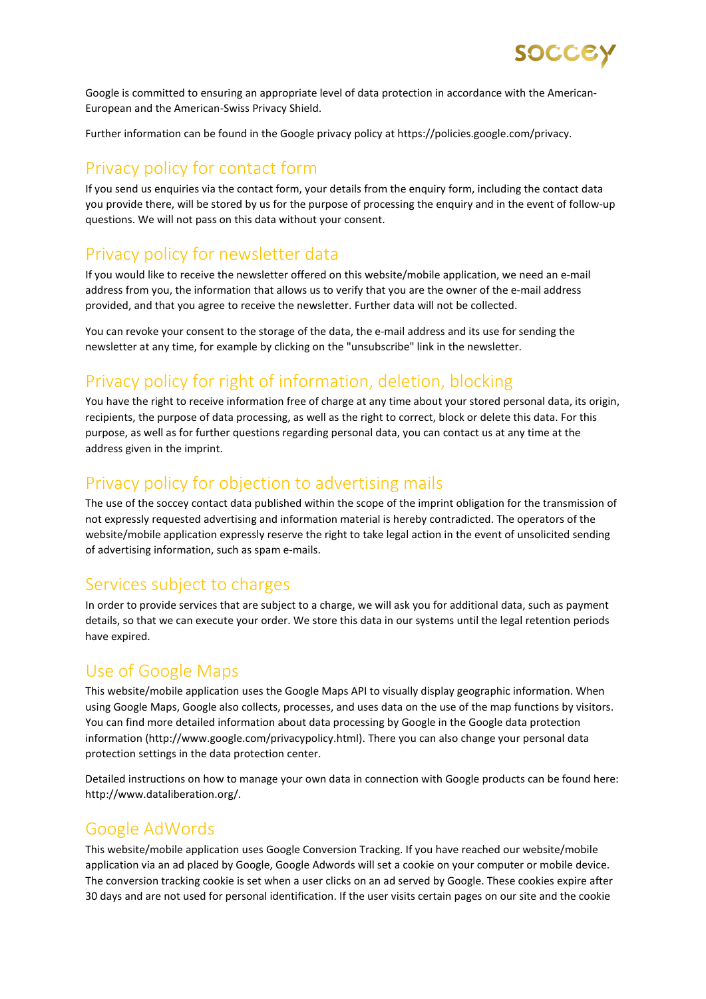

Google is committed to ensuring an appropriate level of data protection in accordance with the American-European and the American-Swiss Privacy Shield.

Further information can be found in the Google privacy policy at https://policies.google.com/privacy.

#### Privacy policy for contact form

If you send us enquiries via the contact form, your details from the enquiry form, including the contact data you provide there, will be stored by us for the purpose of processing the enquiry and in the event of follow-up questions. We will not pass on this data without your consent.

#### Privacy policy for newsletter data

If you would like to receive the newsletter offered on this website/mobile application, we need an e-mail address from you, the information that allows us to verify that you are the owner of the e-mail address provided, and that you agree to receive the newsletter. Further data will not be collected.

You can revoke your consent to the storage of the data, the e-mail address and its use for sending the newsletter at any time, for example by clicking on the "unsubscribe" link in the newsletter.

### Privacy policy for right of information, deletion, blocking

You have the right to receive information free of charge at any time about your stored personal data, its origin, recipients, the purpose of data processing, as well as the right to correct, block or delete this data. For this purpose, as well as for further questions regarding personal data, you can contact us at any time at the address given in the imprint.

#### Privacy policy for objection to advertising mails

The use of the soccey contact data published within the scope of the imprint obligation for the transmission of not expressly requested advertising and information material is hereby contradicted. The operators of the website/mobile application expressly reserve the right to take legal action in the event of unsolicited sending of advertising information, such as spam e-mails.

#### Services subject to charges

In order to provide services that are subject to a charge, we will ask you for additional data, such as payment details, so that we can execute your order. We store this data in our systems until the legal retention periods have expired.

#### Use of Google Maps

This website/mobile application uses the Google Maps API to visually display geographic information. When using Google Maps, Google also collects, processes, and uses data on the use of the map functions by visitors. You can find more detailed information about data processing by Google in the Google data protection information (http://www.google.com/privacypolicy.html). There you can also change your personal data protection settings in the data protection center.

Detailed instructions on how to manage your own data in connection with Google products can be found here: http://www.dataliberation.org/.

#### Google AdWords

This website/mobile application uses Google Conversion Tracking. If you have reached our website/mobile application via an ad placed by Google, Google Adwords will set a cookie on your computer or mobile device. The conversion tracking cookie is set when a user clicks on an ad served by Google. These cookies expire after 30 days and are not used for personal identification. If the user visits certain pages on our site and the cookie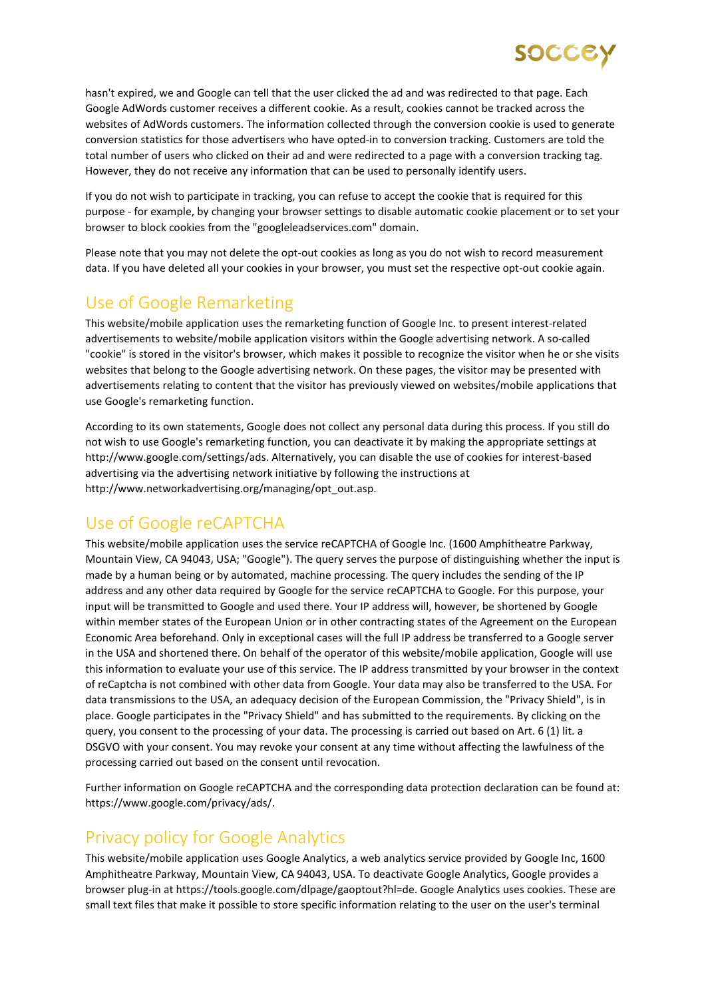hasn't expired, we and Google can tell that the user clicked the ad and was redirected to that page. Each Google AdWords customer receives a different cookie. As a result, cookies cannot be tracked across the websites of AdWords customers. The information collected through the conversion cookie is used to generate conversion statistics for those advertisers who have opted-in to conversion tracking. Customers are told the total number of users who clicked on their ad and were redirected to a page with a conversion tracking tag. However, they do not receive any information that can be used to personally identify users.

If you do not wish to participate in tracking, you can refuse to accept the cookie that is required for this purpose - for example, by changing your browser settings to disable automatic cookie placement or to set your browser to block cookies from the "googleleadservices.com" domain.

Please note that you may not delete the opt-out cookies as long as you do not wish to record measurement data. If you have deleted all your cookies in your browser, you must set the respective opt-out cookie again.

# Use of Google Remarketing

This website/mobile application uses the remarketing function of Google Inc. to present interest-related advertisements to website/mobile application visitors within the Google advertising network. A so-called "cookie" is stored in the visitor's browser, which makes it possible to recognize the visitor when he or she visits websites that belong to the Google advertising network. On these pages, the visitor may be presented with advertisements relating to content that the visitor has previously viewed on websites/mobile applications that use Google's remarketing function.

According to its own statements, Google does not collect any personal data during this process. If you still do not wish to use Google's remarketing function, you can deactivate it by making the appropriate settings at http://www.google.com/settings/ads. Alternatively, you can disable the use of cookies for interest-based advertising via the advertising network initiative by following the instructions at http://www.networkadvertising.org/managing/opt\_out.asp.

### Use of Google reCAPTCHA

This website/mobile application uses the service reCAPTCHA of Google Inc. (1600 Amphitheatre Parkway, Mountain View, CA 94043, USA; "Google"). The query serves the purpose of distinguishing whether the input is made by a human being or by automated, machine processing. The query includes the sending of the IP address and any other data required by Google for the service reCAPTCHA to Google. For this purpose, your input will be transmitted to Google and used there. Your IP address will, however, be shortened by Google within member states of the European Union or in other contracting states of the Agreement on the European Economic Area beforehand. Only in exceptional cases will the full IP address be transferred to a Google server in the USA and shortened there. On behalf of the operator of this website/mobile application, Google will use this information to evaluate your use of this service. The IP address transmitted by your browser in the context of reCaptcha is not combined with other data from Google. Your data may also be transferred to the USA. For data transmissions to the USA, an adequacy decision of the European Commission, the "Privacy Shield", is in place. Google participates in the "Privacy Shield" and has submitted to the requirements. By clicking on the query, you consent to the processing of your data. The processing is carried out based on Art. 6 (1) lit. a DSGVO with your consent. You may revoke your consent at any time without affecting the lawfulness of the processing carried out based on the consent until revocation.

Further information on Google reCAPTCHA and the corresponding data protection declaration can be found at: https://www.google.com/privacy/ads/.

### Privacy policy for Google Analytics

This website/mobile application uses Google Analytics, a web analytics service provided by Google Inc, 1600 Amphitheatre Parkway, Mountain View, CA 94043, USA. To deactivate Google Analytics, Google provides a browser plug-in at https://tools.google.com/dlpage/gaoptout?hl=de. Google Analytics uses cookies. These are small text files that make it possible to store specific information relating to the user on the user's terminal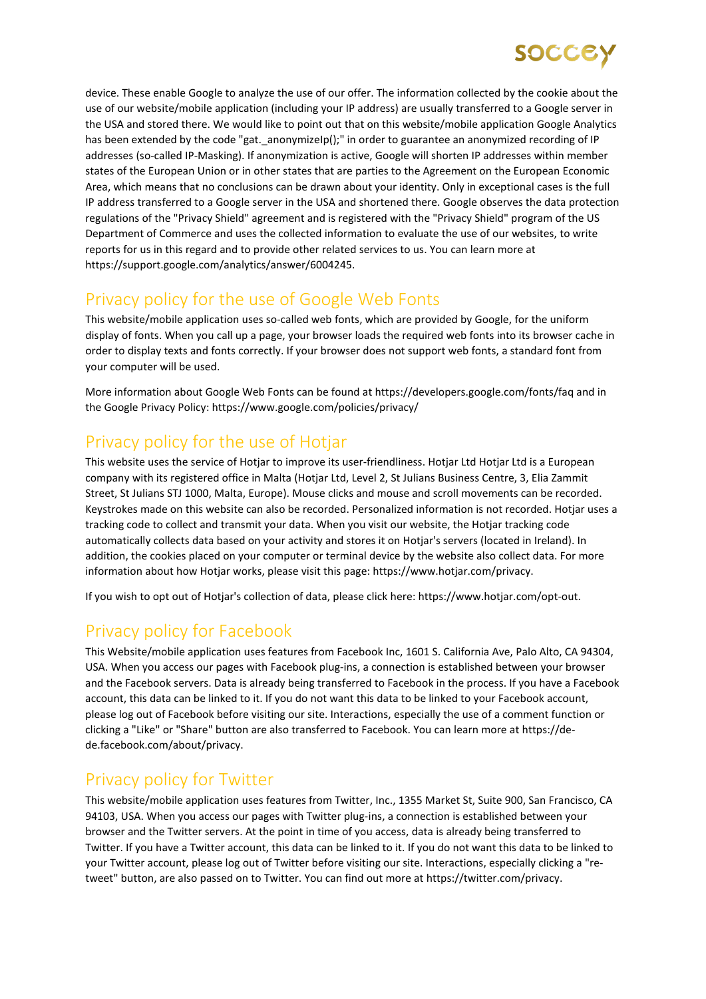device. These enable Google to analyze the use of our offer. The information collected by the cookie about the use of our website/mobile application (including your IP address) are usually transferred to a Google server in the USA and stored there. We would like to point out that on this website/mobile application Google Analytics has been extended by the code "gat. anonymizeIp();" in order to guarantee an anonymized recording of IP addresses (so-called IP-Masking). If anonymization is active, Google will shorten IP addresses within member states of the European Union or in other states that are parties to the Agreement on the European Economic Area, which means that no conclusions can be drawn about your identity. Only in exceptional cases is the full IP address transferred to a Google server in the USA and shortened there. Google observes the data protection regulations of the "Privacy Shield" agreement and is registered with the "Privacy Shield" program of the US Department of Commerce and uses the collected information to evaluate the use of our websites, to write reports for us in this regard and to provide other related services to us. You can learn more at https://support.google.com/analytics/answer/6004245.

# Privacy policy for the use of Google Web Fonts

This website/mobile application uses so-called web fonts, which are provided by Google, for the uniform display of fonts. When you call up a page, your browser loads the required web fonts into its browser cache in order to display texts and fonts correctly. If your browser does not support web fonts, a standard font from your computer will be used.

More information about Google Web Fonts can be found at https://developers.google.com/fonts/faq and in the Google Privacy Policy: https://www.google.com/policies/privacy/

# Privacy policy for the use of Hotiar

This website uses the service of Hotjar to improve its user-friendliness. Hotjar Ltd Hotjar Ltd is a European company with its registered office in Malta (Hotjar Ltd, Level 2, St Julians Business Centre, 3, Elia Zammit Street, St Julians STJ 1000, Malta, Europe). Mouse clicks and mouse and scroll movements can be recorded. Keystrokes made on this website can also be recorded. Personalized information is not recorded. Hotjar uses a tracking code to collect and transmit your data. When you visit our website, the Hotjar tracking code automatically collects data based on your activity and stores it on Hotjar's servers (located in Ireland). In addition, the cookies placed on your computer or terminal device by the website also collect data. For more information about how Hotjar works, please visit this page: https://www.hotjar.com/privacy.

If you wish to opt out of Hotjar's collection of data, please click here: https://www.hotjar.com/opt-out.

### Privacy policy for Facebook

This Website/mobile application uses features from Facebook Inc, 1601 S. California Ave, Palo Alto, CA 94304, USA. When you access our pages with Facebook plug-ins, a connection is established between your browser and the Facebook servers. Data is already being transferred to Facebook in the process. If you have a Facebook account, this data can be linked to it. If you do not want this data to be linked to your Facebook account, please log out of Facebook before visiting our site. Interactions, especially the use of a comment function or clicking a "Like" or "Share" button are also transferred to Facebook. You can learn more at https://dede.facebook.com/about/privacy.

### Privacy policy for Twitter

This website/mobile application uses features from Twitter, Inc., 1355 Market St, Suite 900, San Francisco, CA 94103, USA. When you access our pages with Twitter plug-ins, a connection is established between your browser and the Twitter servers. At the point in time of you access, data is already being transferred to Twitter. If you have a Twitter account, this data can be linked to it. If you do not want this data to be linked to your Twitter account, please log out of Twitter before visiting our site. Interactions, especially clicking a "retweet" button, are also passed on to Twitter. You can find out more at https://twitter.com/privacy.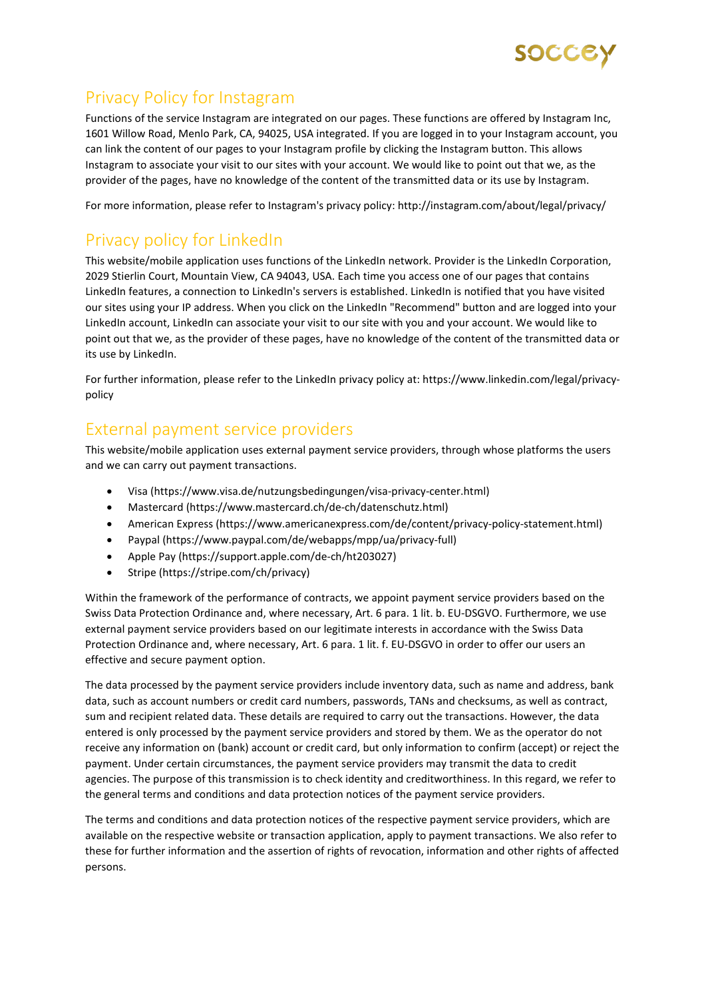

# Privacy Policy for Instagram

Functions of the service Instagram are integrated on our pages. These functions are offered by Instagram Inc, 1601 Willow Road, Menlo Park, CA, 94025, USA integrated. If you are logged in to your Instagram account, you can link the content of our pages to your Instagram profile by clicking the Instagram button. This allows Instagram to associate your visit to our sites with your account. We would like to point out that we, as the provider of the pages, have no knowledge of the content of the transmitted data or its use by Instagram.

For more information, please refer to Instagram's privacy policy: http://instagram.com/about/legal/privacy/

# Privacy policy for LinkedIn

This website/mobile application uses functions of the LinkedIn network. Provider is the LinkedIn Corporation, 2029 Stierlin Court, Mountain View, CA 94043, USA. Each time you access one of our pages that contains LinkedIn features, a connection to LinkedIn's servers is established. LinkedIn is notified that you have visited our sites using your IP address. When you click on the LinkedIn "Recommend" button and are logged into your LinkedIn account, LinkedIn can associate your visit to our site with you and your account. We would like to point out that we, as the provider of these pages, have no knowledge of the content of the transmitted data or its use by LinkedIn.

For further information, please refer to the LinkedIn privacy policy at: https://www.linkedin.com/legal/privacypolicy

#### External payment service providers

This website/mobile application uses external payment service providers, through whose platforms the users and we can carry out payment transactions.

- Visa (https://www.visa.de/nutzungsbedingungen/visa-privacy-center.html)
- Mastercard (https://www.mastercard.ch/de-ch/datenschutz.html)
- American Express (https://www.americanexpress.com/de/content/privacy-policy-statement.html)
- Paypal (https://www.paypal.com/de/webapps/mpp/ua/privacy-full)
- Apple Pay (https://support.apple.com/de-ch/ht203027)
- Stripe (https://stripe.com/ch/privacy)

Within the framework of the performance of contracts, we appoint payment service providers based on the Swiss Data Protection Ordinance and, where necessary, Art. 6 para. 1 lit. b. EU-DSGVO. Furthermore, we use external payment service providers based on our legitimate interests in accordance with the Swiss Data Protection Ordinance and, where necessary, Art. 6 para. 1 lit. f. EU-DSGVO in order to offer our users an effective and secure payment option.

The data processed by the payment service providers include inventory data, such as name and address, bank data, such as account numbers or credit card numbers, passwords, TANs and checksums, as well as contract, sum and recipient related data. These details are required to carry out the transactions. However, the data entered is only processed by the payment service providers and stored by them. We as the operator do not receive any information on (bank) account or credit card, but only information to confirm (accept) or reject the payment. Under certain circumstances, the payment service providers may transmit the data to credit agencies. The purpose of this transmission is to check identity and creditworthiness. In this regard, we refer to the general terms and conditions and data protection notices of the payment service providers.

The terms and conditions and data protection notices of the respective payment service providers, which are available on the respective website or transaction application, apply to payment transactions. We also refer to these for further information and the assertion of rights of revocation, information and other rights of affected persons.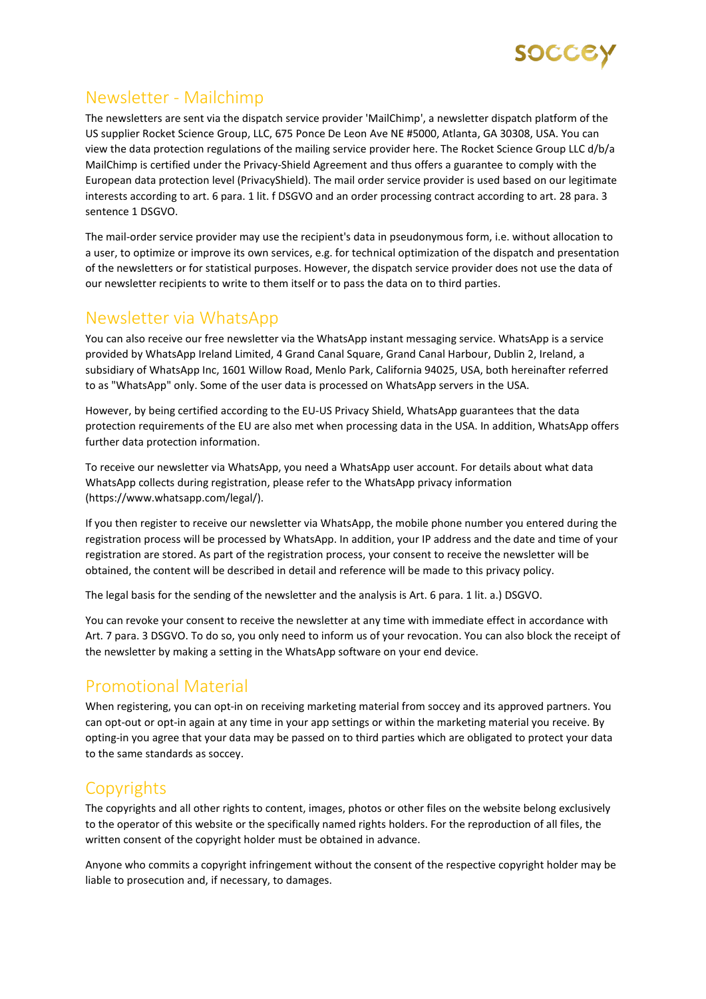

# Newsletter - Mailchimp

The newsletters are sent via the dispatch service provider 'MailChimp', a newsletter dispatch platform of the US supplier Rocket Science Group, LLC, 675 Ponce De Leon Ave NE #5000, Atlanta, GA 30308, USA. You can view the data protection regulations of the mailing service provider here. The Rocket Science Group LLC d/b/a MailChimp is certified under the Privacy-Shield Agreement and thus offers a guarantee to comply with the European data protection level (PrivacyShield). The mail order service provider is used based on our legitimate interests according to art. 6 para. 1 lit. f DSGVO and an order processing contract according to art. 28 para. 3 sentence 1 DSGVO.

The mail-order service provider may use the recipient's data in pseudonymous form, i.e. without allocation to a user, to optimize or improve its own services, e.g. for technical optimization of the dispatch and presentation of the newsletters or for statistical purposes. However, the dispatch service provider does not use the data of our newsletter recipients to write to them itself or to pass the data on to third parties.

#### Newsletter via WhatsApp

You can also receive our free newsletter via the WhatsApp instant messaging service. WhatsApp is a service provided by WhatsApp Ireland Limited, 4 Grand Canal Square, Grand Canal Harbour, Dublin 2, Ireland, a subsidiary of WhatsApp Inc, 1601 Willow Road, Menlo Park, California 94025, USA, both hereinafter referred to as "WhatsApp" only. Some of the user data is processed on WhatsApp servers in the USA.

However, by being certified according to the EU-US Privacy Shield, WhatsApp guarantees that the data protection requirements of the EU are also met when processing data in the USA. In addition, WhatsApp offers further data protection information.

To receive our newsletter via WhatsApp, you need a WhatsApp user account. For details about what data WhatsApp collects during registration, please refer to the WhatsApp privacy information (https://www.whatsapp.com/legal/).

If you then register to receive our newsletter via WhatsApp, the mobile phone number you entered during the registration process will be processed by WhatsApp. In addition, your IP address and the date and time of your registration are stored. As part of the registration process, your consent to receive the newsletter will be obtained, the content will be described in detail and reference will be made to this privacy policy.

The legal basis for the sending of the newsletter and the analysis is Art. 6 para. 1 lit. a.) DSGVO.

You can revoke your consent to receive the newsletter at any time with immediate effect in accordance with Art. 7 para. 3 DSGVO. To do so, you only need to inform us of your revocation. You can also block the receipt of the newsletter by making a setting in the WhatsApp software on your end device.

#### Promotional Material

When registering, you can opt-in on receiving marketing material from soccey and its approved partners. You can opt-out or opt-in again at any time in your app settings or within the marketing material you receive. By opting-in you agree that your data may be passed on to third parties which are obligated to protect your data to the same standards as soccey.

### **Copyrights**

The copyrights and all other rights to content, images, photos or other files on the website belong exclusively to the operator of this website or the specifically named rights holders. For the reproduction of all files, the written consent of the copyright holder must be obtained in advance.

Anyone who commits a copyright infringement without the consent of the respective copyright holder may be liable to prosecution and, if necessary, to damages.